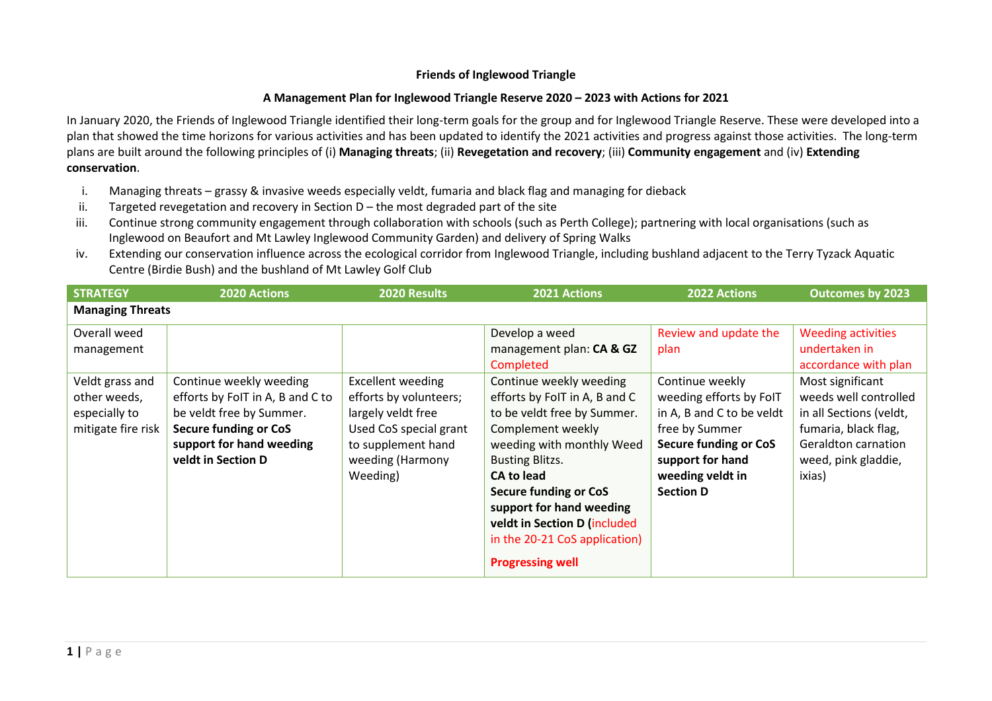## **Friends of Inglewood Triangle**

## **A Management Plan for Inglewood Triangle Reserve 2020 – 2023 with Actions for 2021**

In January 2020, the Friends of Inglewood Triangle identified their long-term goals for the group and for Inglewood Triangle Reserve. These were developed into a plan that showed the time horizons for various activities and has been updated to identify the 2021 activities and progress against those activities. The long-term plans are built around the following principles of (i) **Managing threats**; (ii) **Revegetation and recovery**; (iii) **Community engagement** and (iv) **Extending conservation**.

- i. Managing threats grassy & invasive weeds especially veldt, fumaria and black flag and managing for dieback
- ii. Targeted revegetation and recovery in Section  $D -$  the most degraded part of the site
- iii. Continue strong community engagement through collaboration with schools (such as Perth College); partnering with local organisations (such as Inglewood on Beaufort and Mt Lawley Inglewood Community Garden) and delivery of Spring Walks
- iv. Extending our conservation influence across the ecological corridor from Inglewood Triangle, including bushland adjacent to the Terry Tyzack Aquatic Centre (Birdie Bush) and the bushland of Mt Lawley Golf Club

| <b>STRATEGY</b>                                                        | 2020 Actions                                                                                                                                                              | 2020 Results                                                                                                                                             | <b>2021 Actions</b>                                                                                                                                                                                                                                                                                                                                           | <b>2022 Actions</b>                                                                                                                                                                   | <b>Outcomes by 2023</b>                                                                                                                                                      |  |  |
|------------------------------------------------------------------------|---------------------------------------------------------------------------------------------------------------------------------------------------------------------------|----------------------------------------------------------------------------------------------------------------------------------------------------------|---------------------------------------------------------------------------------------------------------------------------------------------------------------------------------------------------------------------------------------------------------------------------------------------------------------------------------------------------------------|---------------------------------------------------------------------------------------------------------------------------------------------------------------------------------------|------------------------------------------------------------------------------------------------------------------------------------------------------------------------------|--|--|
| <b>Managing Threats</b>                                                |                                                                                                                                                                           |                                                                                                                                                          |                                                                                                                                                                                                                                                                                                                                                               |                                                                                                                                                                                       |                                                                                                                                                                              |  |  |
| Overall weed<br>management                                             |                                                                                                                                                                           |                                                                                                                                                          | Develop a weed<br>management plan: CA & GZ                                                                                                                                                                                                                                                                                                                    | Review and update the<br>plan                                                                                                                                                         | <b>Weeding activities</b><br>undertaken in                                                                                                                                   |  |  |
| Veldt grass and<br>other weeds,<br>especially to<br>mitigate fire risk | Continue weekly weeding<br>efforts by FoIT in A, B and C to<br>be veldt free by Summer.<br><b>Secure funding or CoS</b><br>support for hand weeding<br>veldt in Section D | <b>Excellent weeding</b><br>efforts by volunteers;<br>largely veldt free<br>Used CoS special grant<br>to supplement hand<br>weeding (Harmony<br>Weeding) | Completed<br>Continue weekly weeding<br>efforts by FoIT in A, B and C<br>to be veldt free by Summer.<br>Complement weekly<br>weeding with monthly Weed<br><b>Busting Blitzs.</b><br><b>CA to lead</b><br><b>Secure funding or CoS</b><br>support for hand weeding<br>veldt in Section D (included<br>in the 20-21 CoS application)<br><b>Progressing well</b> | Continue weekly<br>weeding efforts by FoIT<br>in A, B and C to be veldt<br>free by Summer<br><b>Secure funding or CoS</b><br>support for hand<br>weeding veldt in<br><b>Section D</b> | accordance with plan<br>Most significant<br>weeds well controlled<br>in all Sections (veldt,<br>fumaria, black flag,<br>Geraldton carnation<br>weed, pink gladdie,<br>ixias) |  |  |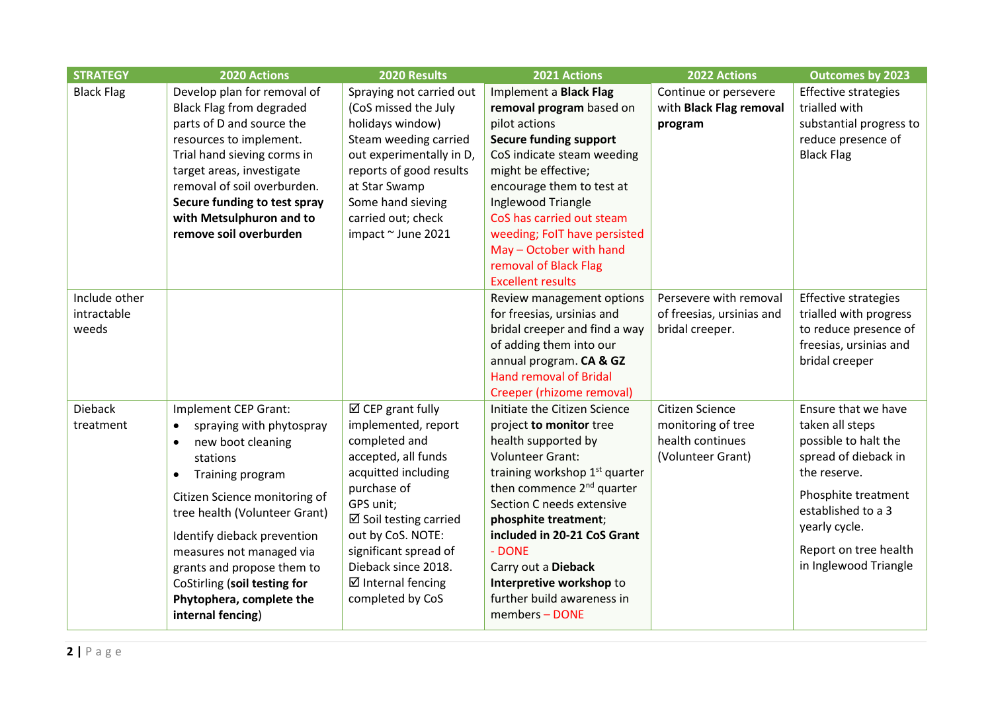| <b>STRATEGY</b>   | 2020 Actions                          | 2020 Results                     | 2021 Actions                                           | 2022 Actions              | <b>Outcomes by 2023</b>     |
|-------------------|---------------------------------------|----------------------------------|--------------------------------------------------------|---------------------------|-----------------------------|
| <b>Black Flag</b> | Develop plan for removal of           | Spraying not carried out         | Implement a Black Flag                                 | Continue or persevere     | <b>Effective strategies</b> |
|                   | <b>Black Flag from degraded</b>       | (CoS missed the July             | removal program based on                               | with Black Flag removal   | trialled with               |
|                   | parts of D and source the             | holidays window)                 | pilot actions                                          | program                   | substantial progress to     |
|                   | resources to implement.               | Steam weeding carried            | <b>Secure funding support</b>                          |                           | reduce presence of          |
|                   | Trial hand sieving corms in           | out experimentally in D,         | CoS indicate steam weeding                             |                           | <b>Black Flag</b>           |
|                   | target areas, investigate             | reports of good results          | might be effective;                                    |                           |                             |
|                   | removal of soil overburden.           | at Star Swamp                    | encourage them to test at                              |                           |                             |
|                   | Secure funding to test spray          | Some hand sieving                | Inglewood Triangle                                     |                           |                             |
|                   | with Metsulphuron and to              | carried out; check               | CoS has carried out steam                              |                           |                             |
|                   | remove soil overburden                | impact ~ June 2021               | weeding; FoIT have persisted                           |                           |                             |
|                   |                                       |                                  | May - October with hand                                |                           |                             |
|                   |                                       |                                  | removal of Black Flag                                  |                           |                             |
|                   |                                       |                                  | <b>Excellent results</b>                               |                           |                             |
| Include other     |                                       |                                  | Review management options                              | Persevere with removal    | <b>Effective strategies</b> |
| intractable       |                                       |                                  | for freesias, ursinias and                             | of freesias, ursinias and | trialled with progress      |
| weeds             |                                       |                                  | bridal creeper and find a way                          | bridal creeper.           | to reduce presence of       |
|                   |                                       |                                  | of adding them into our                                |                           | freesias, ursinias and      |
|                   |                                       |                                  | annual program. CA & GZ                                |                           | bridal creeper              |
|                   |                                       |                                  | <b>Hand removal of Bridal</b>                          |                           |                             |
|                   |                                       |                                  | Creeper (rhizome removal)                              |                           |                             |
| <b>Dieback</b>    | Implement CEP Grant:                  | $\boxtimes$ CEP grant fully      | Initiate the Citizen Science                           | Citizen Science           | Ensure that we have         |
| treatment         | spraying with phytospray<br>$\bullet$ | implemented, report              | project to monitor tree                                | monitoring of tree        | taken all steps             |
|                   | new boot cleaning<br>$\bullet$        | completed and                    | health supported by                                    | health continues          | possible to halt the        |
|                   | stations                              | accepted, all funds              | <b>Volunteer Grant:</b>                                | (Volunteer Grant)         | spread of dieback in        |
|                   | Training program<br>$\bullet$         | acquitted including              | training workshop 1 <sup>st</sup> quarter              |                           | the reserve.                |
|                   | Citizen Science monitoring of         | purchase of                      | then commence 2 <sup>nd</sup> quarter                  |                           | Phosphite treatment         |
|                   | tree health (Volunteer Grant)         | GPS unit;                        | Section C needs extensive                              |                           | established to a 3          |
|                   |                                       | $\boxtimes$ Soil testing carried | phosphite treatment;                                   |                           | yearly cycle.               |
|                   | Identify dieback prevention           | out by CoS. NOTE:                | included in 20-21 CoS Grant<br>- DONE                  |                           | Report on tree health       |
|                   | measures not managed via              | significant spread of            |                                                        |                           | in Inglewood Triangle       |
|                   | grants and propose them to            | Dieback since 2018.              | Carry out a Dieback                                    |                           |                             |
|                   | CoStirling (soil testing for          | $\boxtimes$ Internal fencing     | Interpretive workshop to<br>further build awareness in |                           |                             |
|                   | Phytophera, complete the              | completed by CoS                 |                                                        |                           |                             |
|                   | internal fencing)                     |                                  | members - DONE                                         |                           |                             |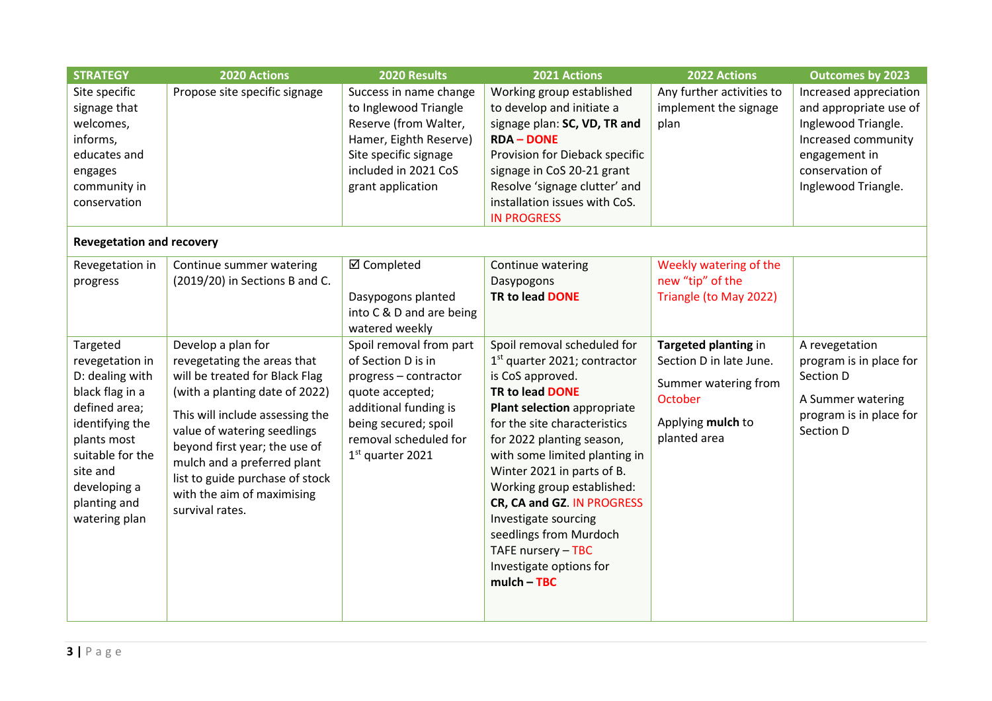| <b>STRATEGY</b>                                                                                                                                                                                       | 2020 Actions                                                                                                                                                                                                                                                                                                                                | 2020 Results                                                                                                                                                                              | 2021 Actions                                                                                                                                                                                                                                                                                                                                                                                                                                              | 2022 Actions                                                                                                            | <b>Outcomes by 2023</b>                                                                                                                                   |
|-------------------------------------------------------------------------------------------------------------------------------------------------------------------------------------------------------|---------------------------------------------------------------------------------------------------------------------------------------------------------------------------------------------------------------------------------------------------------------------------------------------------------------------------------------------|-------------------------------------------------------------------------------------------------------------------------------------------------------------------------------------------|-----------------------------------------------------------------------------------------------------------------------------------------------------------------------------------------------------------------------------------------------------------------------------------------------------------------------------------------------------------------------------------------------------------------------------------------------------------|-------------------------------------------------------------------------------------------------------------------------|-----------------------------------------------------------------------------------------------------------------------------------------------------------|
| Site specific<br>signage that<br>welcomes,<br>informs,<br>educates and<br>engages<br>community in<br>conservation                                                                                     | Propose site specific signage                                                                                                                                                                                                                                                                                                               | Success in name change<br>to Inglewood Triangle<br>Reserve (from Walter,<br>Hamer, Eighth Reserve)<br>Site specific signage<br>included in 2021 CoS<br>grant application                  | Working group established<br>to develop and initiate a<br>signage plan: SC, VD, TR and<br><b>RDA-DONE</b><br>Provision for Dieback specific<br>signage in CoS 20-21 grant<br>Resolve 'signage clutter' and<br>installation issues with CoS.<br><b>IN PROGRESS</b>                                                                                                                                                                                         | Any further activities to<br>implement the signage<br>plan                                                              | Increased appreciation<br>and appropriate use of<br>Inglewood Triangle.<br>Increased community<br>engagement in<br>conservation of<br>Inglewood Triangle. |
| <b>Revegetation and recovery</b>                                                                                                                                                                      |                                                                                                                                                                                                                                                                                                                                             |                                                                                                                                                                                           |                                                                                                                                                                                                                                                                                                                                                                                                                                                           |                                                                                                                         |                                                                                                                                                           |
| Revegetation in<br>progress                                                                                                                                                                           | Continue summer watering<br>(2019/20) in Sections B and C.                                                                                                                                                                                                                                                                                  | ☑ Completed<br>Dasypogons planted<br>into C & D and are being<br>watered weekly                                                                                                           | Continue watering<br>Dasypogons<br>TR to lead DONE                                                                                                                                                                                                                                                                                                                                                                                                        | Weekly watering of the<br>new "tip" of the<br>Triangle (to May 2022)                                                    |                                                                                                                                                           |
| Targeted<br>revegetation in<br>D: dealing with<br>black flag in a<br>defined area;<br>identifying the<br>plants most<br>suitable for the<br>site and<br>developing a<br>planting and<br>watering plan | Develop a plan for<br>revegetating the areas that<br>will be treated for Black Flag<br>(with a planting date of 2022)<br>This will include assessing the<br>value of watering seedlings<br>beyond first year; the use of<br>mulch and a preferred plant<br>list to guide purchase of stock<br>with the aim of maximising<br>survival rates. | Spoil removal from part<br>of Section D is in<br>progress - contractor<br>quote accepted;<br>additional funding is<br>being secured; spoil<br>removal scheduled for<br>$1st$ quarter 2021 | Spoil removal scheduled for<br>1 <sup>st</sup> quarter 2021; contractor<br>is CoS approved.<br>TR to lead DONE<br>Plant selection appropriate<br>for the site characteristics<br>for 2022 planting season,<br>with some limited planting in<br>Winter 2021 in parts of B.<br>Working group established:<br>CR, CA and GZ. IN PROGRESS<br>Investigate sourcing<br>seedlings from Murdoch<br>TAFE nursery - TBC<br>Investigate options for<br>$mulch - TBC$ | Targeted planting in<br>Section D in late June.<br>Summer watering from<br>October<br>Applying mulch to<br>planted area | A revegetation<br>program is in place for<br>Section D<br>A Summer watering<br>program is in place for<br>Section D                                       |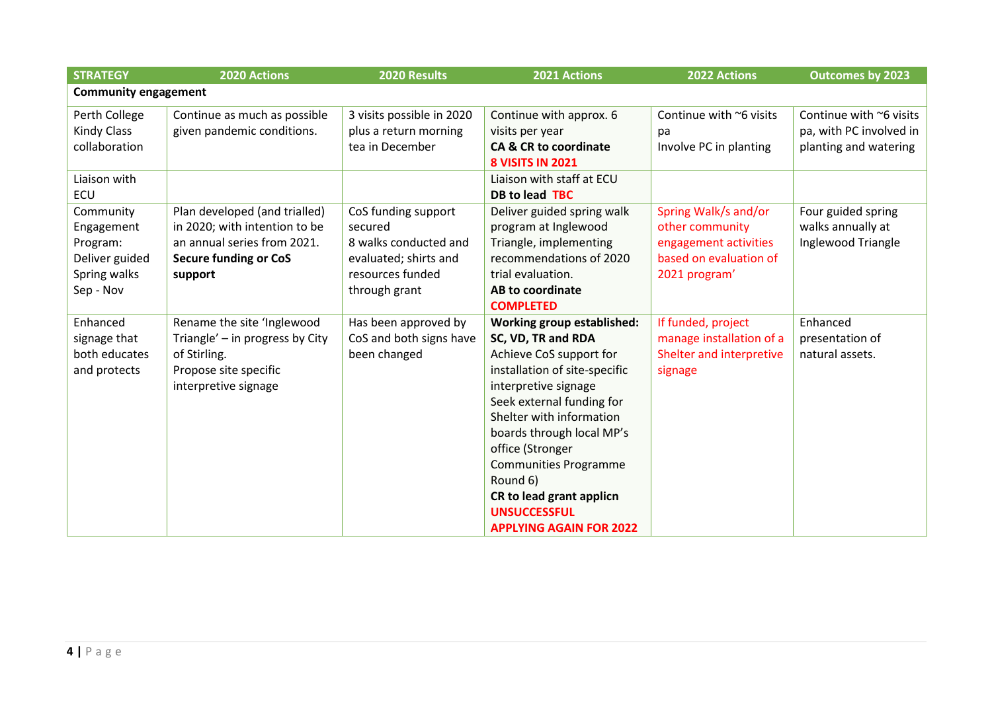| <b>STRATEGY</b>                                                                    | 2020 Actions                                                                                                                             | 2020 Results                                                                                                          | 2021 Actions                                                                                                                                                                                                                                                                                                                                                                    | 2022 Actions                                                                                                | <b>Outcomes by 2023</b>                                                     |  |
|------------------------------------------------------------------------------------|------------------------------------------------------------------------------------------------------------------------------------------|-----------------------------------------------------------------------------------------------------------------------|---------------------------------------------------------------------------------------------------------------------------------------------------------------------------------------------------------------------------------------------------------------------------------------------------------------------------------------------------------------------------------|-------------------------------------------------------------------------------------------------------------|-----------------------------------------------------------------------------|--|
| <b>Community engagement</b>                                                        |                                                                                                                                          |                                                                                                                       |                                                                                                                                                                                                                                                                                                                                                                                 |                                                                                                             |                                                                             |  |
| Perth College<br><b>Kindy Class</b><br>collaboration<br>Liaison with<br><b>ECU</b> | Continue as much as possible<br>given pandemic conditions.                                                                               | 3 visits possible in 2020<br>plus a return morning<br>tea in December                                                 | Continue with approx. 6<br>visits per year<br><b>CA &amp; CR to coordinate</b><br><b>8 VISITS IN 2021</b><br>Liaison with staff at ECU<br>DB to lead TBC                                                                                                                                                                                                                        | Continue with ~6 visits<br>pa<br>Involve PC in planting                                                     | Continue with ~6 visits<br>pa, with PC involved in<br>planting and watering |  |
| Community<br>Engagement<br>Program:<br>Deliver guided<br>Spring walks<br>Sep - Nov | Plan developed (and trialled)<br>in 2020; with intention to be<br>an annual series from 2021.<br><b>Secure funding or CoS</b><br>support | CoS funding support<br>secured<br>8 walks conducted and<br>evaluated; shirts and<br>resources funded<br>through grant | Deliver guided spring walk<br>program at Inglewood<br>Triangle, implementing<br>recommendations of 2020<br>trial evaluation.<br>AB to coordinate<br><b>COMPLETED</b>                                                                                                                                                                                                            | Spring Walk/s and/or<br>other community<br>engagement activities<br>based on evaluation of<br>2021 program' | Four guided spring<br>walks annually at<br>Inglewood Triangle               |  |
| Enhanced<br>signage that<br>both educates<br>and protects                          | Rename the site 'Inglewood<br>Triangle' - in progress by City<br>of Stirling.<br>Propose site specific<br>interpretive signage           | Has been approved by<br>CoS and both signs have<br>been changed                                                       | Working group established:<br>SC, VD, TR and RDA<br>Achieve CoS support for<br>installation of site-specific<br>interpretive signage<br>Seek external funding for<br>Shelter with information<br>boards through local MP's<br>office (Stronger<br><b>Communities Programme</b><br>Round 6)<br>CR to lead grant applicn<br><b>UNSUCCESSFUL</b><br><b>APPLYING AGAIN FOR 2022</b> | If funded, project<br>manage installation of a<br>Shelter and interpretive<br>signage                       | Enhanced<br>presentation of<br>natural assets.                              |  |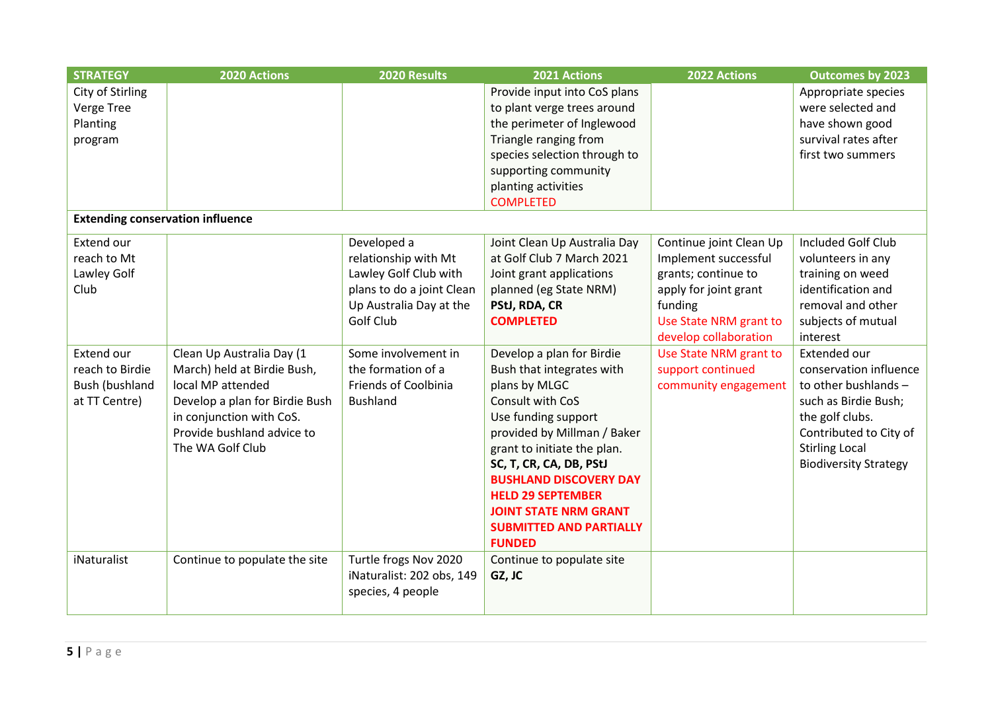| <b>STRATEGY</b>                         | 2020 Actions                   | 2020 Results              | 2021 Actions                   | 2022 Actions            | <b>Outcomes by 2023</b>      |
|-----------------------------------------|--------------------------------|---------------------------|--------------------------------|-------------------------|------------------------------|
| City of Stirling                        |                                |                           | Provide input into CoS plans   |                         | Appropriate species          |
| Verge Tree                              |                                |                           | to plant verge trees around    |                         | were selected and            |
| Planting                                |                                |                           | the perimeter of Inglewood     |                         | have shown good              |
| program                                 |                                |                           | Triangle ranging from          |                         | survival rates after         |
|                                         |                                |                           | species selection through to   |                         | first two summers            |
|                                         |                                |                           | supporting community           |                         |                              |
|                                         |                                |                           | planting activities            |                         |                              |
|                                         |                                |                           | <b>COMPLETED</b>               |                         |                              |
| <b>Extending conservation influence</b> |                                |                           |                                |                         |                              |
| Extend our                              |                                | Developed a               | Joint Clean Up Australia Day   | Continue joint Clean Up | <b>Included Golf Club</b>    |
| reach to Mt                             |                                | relationship with Mt      | at Golf Club 7 March 2021      | Implement successful    | volunteers in any            |
| Lawley Golf                             |                                | Lawley Golf Club with     | Joint grant applications       | grants; continue to     | training on weed             |
| Club                                    |                                | plans to do a joint Clean | planned (eg State NRM)         | apply for joint grant   | identification and           |
|                                         |                                | Up Australia Day at the   | PStJ, RDA, CR                  | funding                 | removal and other            |
|                                         |                                | Golf Club                 | <b>COMPLETED</b>               | Use State NRM grant to  | subjects of mutual           |
|                                         |                                |                           |                                | develop collaboration   | interest                     |
| Extend our                              | Clean Up Australia Day (1      | Some involvement in       | Develop a plan for Birdie      | Use State NRM grant to  | Extended our                 |
| reach to Birdie                         | March) held at Birdie Bush,    | the formation of a        | Bush that integrates with      | support continued       | conservation influence       |
| Bush (bushland                          | local MP attended              | Friends of Coolbinia      | plans by MLGC                  | community engagement    | to other bushlands -         |
| at TT Centre)                           | Develop a plan for Birdie Bush | <b>Bushland</b>           | Consult with CoS               |                         | such as Birdie Bush;         |
|                                         | in conjunction with CoS.       |                           | Use funding support            |                         | the golf clubs.              |
|                                         | Provide bushland advice to     |                           | provided by Millman / Baker    |                         | Contributed to City of       |
|                                         | The WA Golf Club               |                           | grant to initiate the plan.    |                         | <b>Stirling Local</b>        |
|                                         |                                |                           | SC, T, CR, CA, DB, PStJ        |                         | <b>Biodiversity Strategy</b> |
|                                         |                                |                           | <b>BUSHLAND DISCOVERY DAY</b>  |                         |                              |
|                                         |                                |                           | <b>HELD 29 SEPTEMBER</b>       |                         |                              |
|                                         |                                |                           | <b>JOINT STATE NRM GRANT</b>   |                         |                              |
|                                         |                                |                           | <b>SUBMITTED AND PARTIALLY</b> |                         |                              |
|                                         |                                |                           | <b>FUNDED</b>                  |                         |                              |
| iNaturalist                             | Continue to populate the site  | Turtle frogs Nov 2020     | Continue to populate site      |                         |                              |
|                                         |                                | iNaturalist: 202 obs, 149 | GZ, JC                         |                         |                              |
|                                         |                                | species, 4 people         |                                |                         |                              |
|                                         |                                |                           |                                |                         |                              |